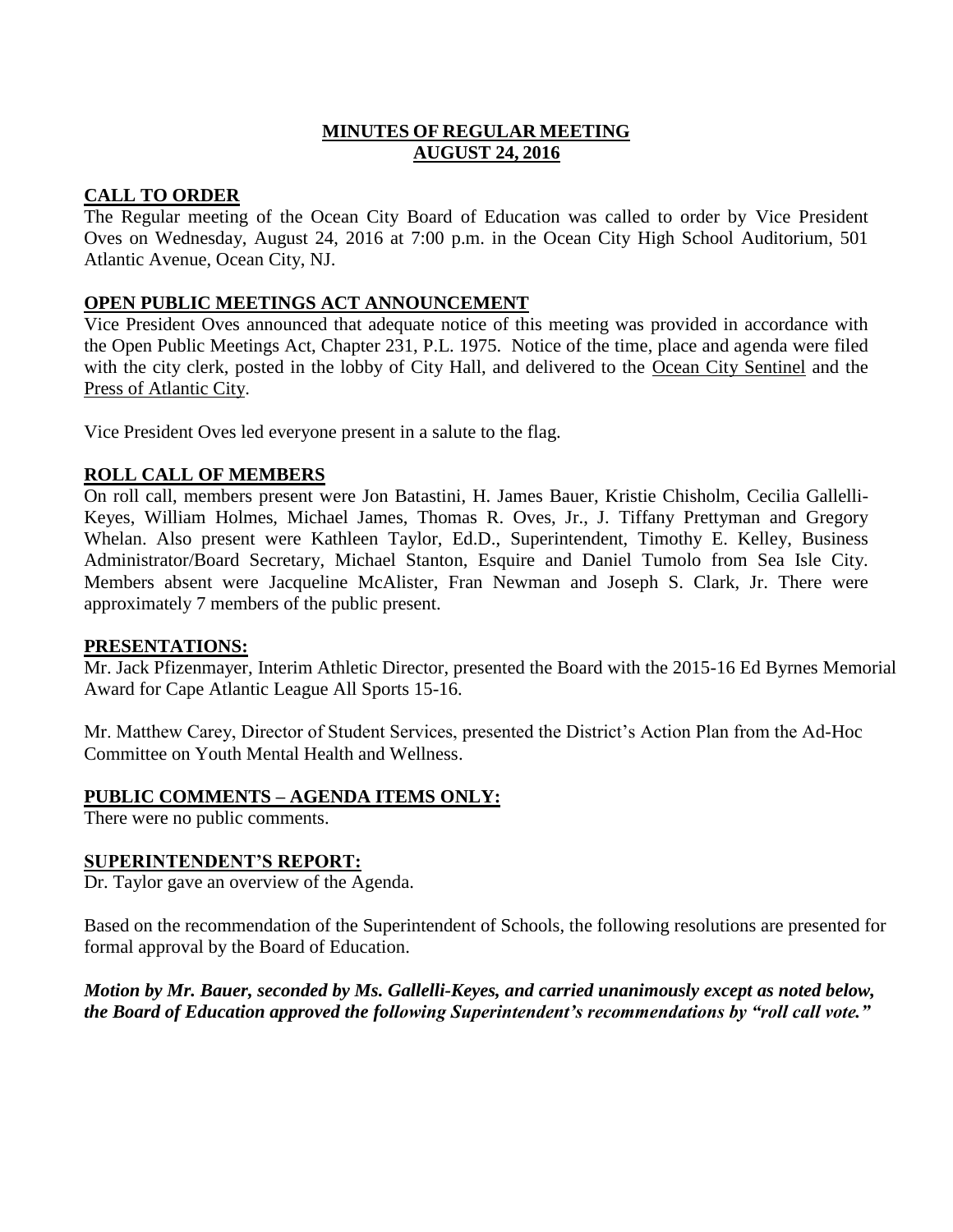# **MINUTES OF REGULAR MEETING AUGUST 24, 2016**

### **CALL TO ORDER**

The Regular meeting of the Ocean City Board of Education was called to order by Vice President Oves on Wednesday, August 24, 2016 at 7:00 p.m. in the Ocean City High School Auditorium, 501 Atlantic Avenue, Ocean City, NJ.

### **OPEN PUBLIC MEETINGS ACT ANNOUNCEMENT**

Vice President Oves announced that adequate notice of this meeting was provided in accordance with the Open Public Meetings Act, Chapter 231, P.L. 1975. Notice of the time, place and agenda were filed with the city clerk, posted in the lobby of City Hall, and delivered to the Ocean City Sentinel and the Press of Atlantic City.

Vice President Oves led everyone present in a salute to the flag.

# **ROLL CALL OF MEMBERS**

On roll call, members present were Jon Batastini, H. James Bauer, Kristie Chisholm, Cecilia Gallelli-Keyes, William Holmes, Michael James, Thomas R. Oves, Jr., J. Tiffany Prettyman and Gregory Whelan. Also present were Kathleen Taylor, Ed.D., Superintendent, Timothy E. Kelley, Business Administrator/Board Secretary, Michael Stanton, Esquire and Daniel Tumolo from Sea Isle City. Members absent were Jacqueline McAlister, Fran Newman and Joseph S. Clark, Jr. There were approximately 7 members of the public present.

### **PRESENTATIONS:**

Mr. Jack Pfizenmayer, Interim Athletic Director, presented the Board with the 2015-16 Ed Byrnes Memorial Award for Cape Atlantic League All Sports 15-16.

Mr. Matthew Carey, Director of Student Services, presented the District's Action Plan from the Ad-Hoc Committee on Youth Mental Health and Wellness.

# **PUBLIC COMMENTS – AGENDA ITEMS ONLY:**

There were no public comments.

### **SUPERINTENDENT'S REPORT:**

Dr. Taylor gave an overview of the Agenda.

Based on the recommendation of the Superintendent of Schools, the following resolutions are presented for formal approval by the Board of Education.

*Motion by Mr. Bauer, seconded by Ms. Gallelli-Keyes, and carried unanimously except as noted below, the Board of Education approved the following Superintendent's recommendations by "roll call vote."*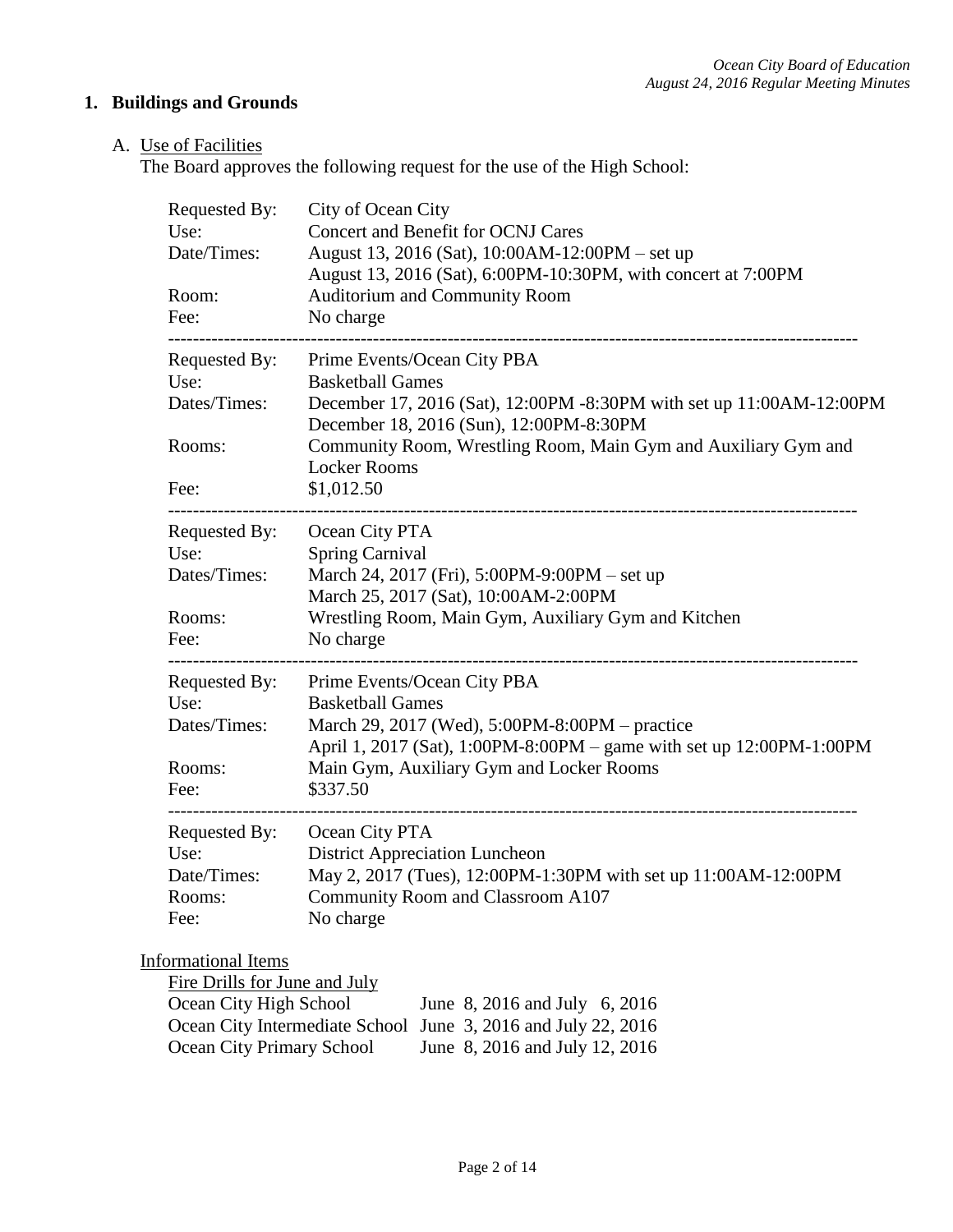# **1. Buildings and Grounds**

# A. Use of Facilities

The Board approves the following request for the use of the High School:

| Requested By:<br>Use:<br>Date/Times:<br>Room:<br>Fee:                                                                                         | City of Ocean City<br>Concert and Benefit for OCNJ Cares<br>August 13, 2016 (Sat), 10:00AM-12:00PM - set up<br>August 13, 2016 (Sat), 6:00PM-10:30PM, with concert at 7:00PM<br>Auditorium and Community Room<br>No charge                                                       |
|-----------------------------------------------------------------------------------------------------------------------------------------------|----------------------------------------------------------------------------------------------------------------------------------------------------------------------------------------------------------------------------------------------------------------------------------|
| Requested By:<br>Use:<br>Dates/Times:<br>Rooms:<br>Fee:                                                                                       | Prime Events/Ocean City PBA<br><b>Basketball Games</b><br>December 17, 2016 (Sat), 12:00PM -8:30PM with set up 11:00AM-12:00PM<br>December 18, 2016 (Sun), 12:00PM-8:30PM<br>Community Room, Wrestling Room, Main Gym and Auxiliary Gym and<br><b>Locker Rooms</b><br>\$1,012.50 |
| Requested By:<br>Use:<br>Dates/Times:<br>Rooms:<br>Fee:                                                                                       | Ocean City PTA<br><b>Spring Carnival</b><br>March 24, 2017 (Fri), 5:00PM-9:00PM – set up<br>March 25, 2017 (Sat), 10:00AM-2:00PM<br>Wrestling Room, Main Gym, Auxiliary Gym and Kitchen<br>No charge                                                                             |
| Requested By:<br>Use:<br>Dates/Times:<br>Rooms:<br>Fee:                                                                                       | Prime Events/Ocean City PBA<br><b>Basketball Games</b><br>March 29, 2017 (Wed), 5:00PM-8:00PM – practice<br>April 1, 2017 (Sat), 1:00PM-8:00PM – game with set up 12:00PM-1:00PM<br>Main Gym, Auxiliary Gym and Locker Rooms<br>\$337.50                                         |
| -----------------<br>Requested By:<br>Use:<br>Date/Times:<br>Rooms:<br>Fee:                                                                   | Ocean City PTA<br><b>District Appreciation Luncheon</b><br>May 2, 2017 (Tues), 12:00PM-1:30PM with set up 11:00AM-12:00PM<br>Community Room and Classroom A107<br>No charge                                                                                                      |
| Informational Items<br>Fire Drills for June and July<br>Ocean City High School<br>Ocean City Intermediate School<br>Ocean City Primary School | June 8, 2016 and July 6, 2016<br>June 3, 2016 and July 22, 2016<br>June 8, 2016 and July 12, 2016                                                                                                                                                                                |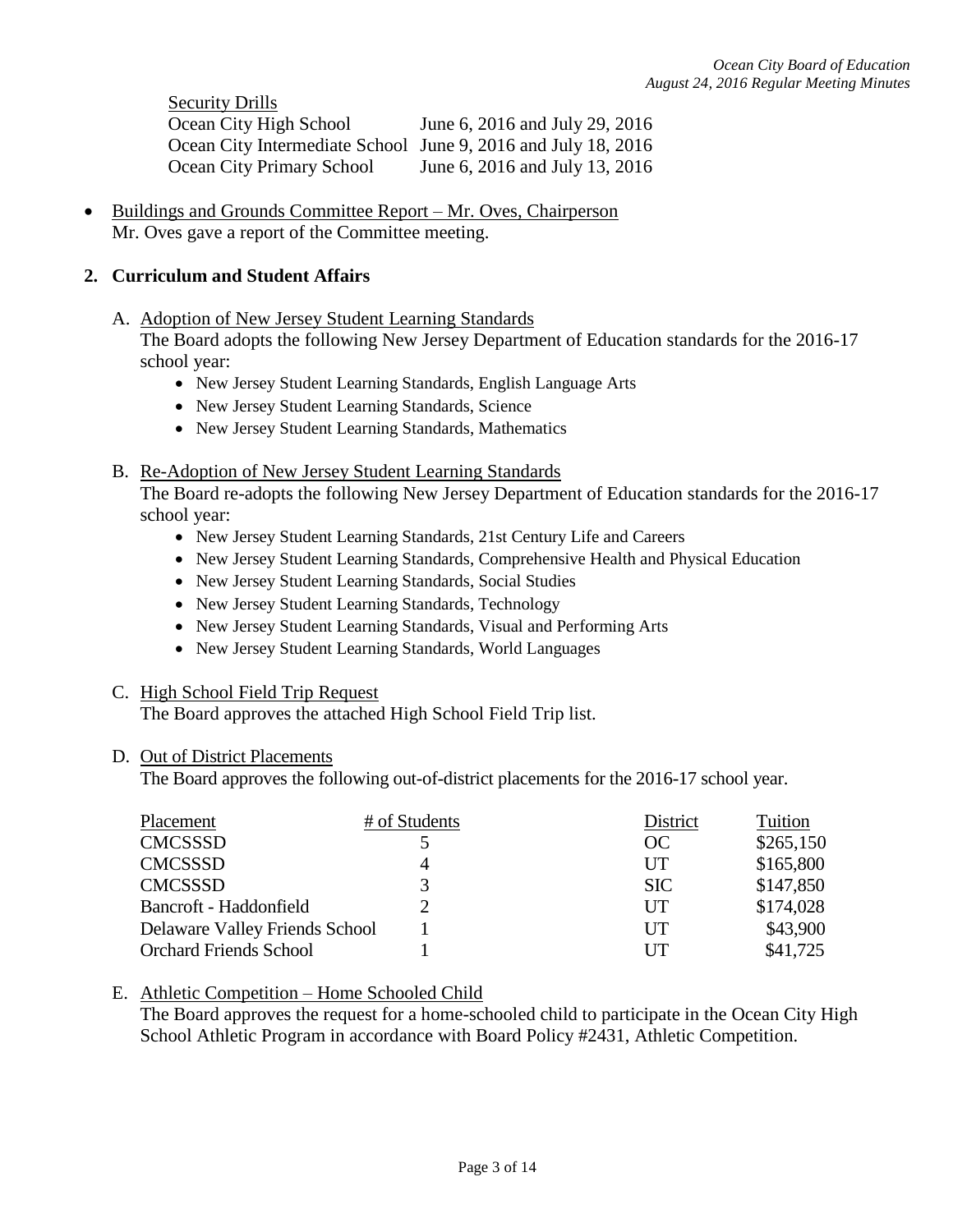Security Drills Ocean City High School June 6, 2016 and July 29, 2016 Ocean City Intermediate School June 9, 2016 and July 18, 2016 Ocean City Primary School June 6, 2016 and July 13, 2016

 Buildings and Grounds Committee Report – Mr. Oves, Chairperson Mr. Oves gave a report of the Committee meeting.

### **2. Curriculum and Student Affairs**

A. Adoption of New Jersey Student Learning Standards

The Board adopts the following New Jersey Department of Education standards for the 2016-17 school year:

- New Jersey Student Learning Standards, English Language Arts
- New Jersey Student Learning Standards, Science
- New Jersey Student Learning Standards, Mathematics
- B. Re-Adoption of New Jersey Student Learning Standards

The Board re-adopts the following New Jersey Department of Education standards for the 2016-17 school year:

- New Jersey Student Learning Standards, 21st Century Life and Careers
- New Jersey Student Learning Standards, Comprehensive Health and Physical Education
- New Jersey Student Learning Standards, Social Studies
- New Jersey Student Learning Standards, Technology
- New Jersey Student Learning Standards, Visual and Performing Arts
- New Jersey Student Learning Standards, World Languages

### C. High School Field Trip Request

The Board approves the attached High School Field Trip list.

### D. Out of District Placements

The Board approves the following out-of-district placements for the 2016-17 school year.

| Placement                      | # of Students | District   | Tuition   |
|--------------------------------|---------------|------------|-----------|
| <b>CMCSSSD</b>                 |               | OC         | \$265,150 |
| <b>CMCSSSD</b>                 | 4             | UT         | \$165,800 |
| <b>CMCSSSD</b>                 |               | <b>SIC</b> | \$147,850 |
| Bancroft - Haddonfield         |               | UT         | \$174,028 |
| Delaware Valley Friends School |               | UT         | \$43,900  |
| <b>Orchard Friends School</b>  |               | UT         | \$41,725  |

# E. Athletic Competition – Home Schooled Child

The Board approves the request for a home-schooled child to participate in the Ocean City High School Athletic Program in accordance with Board Policy #2431, Athletic Competition.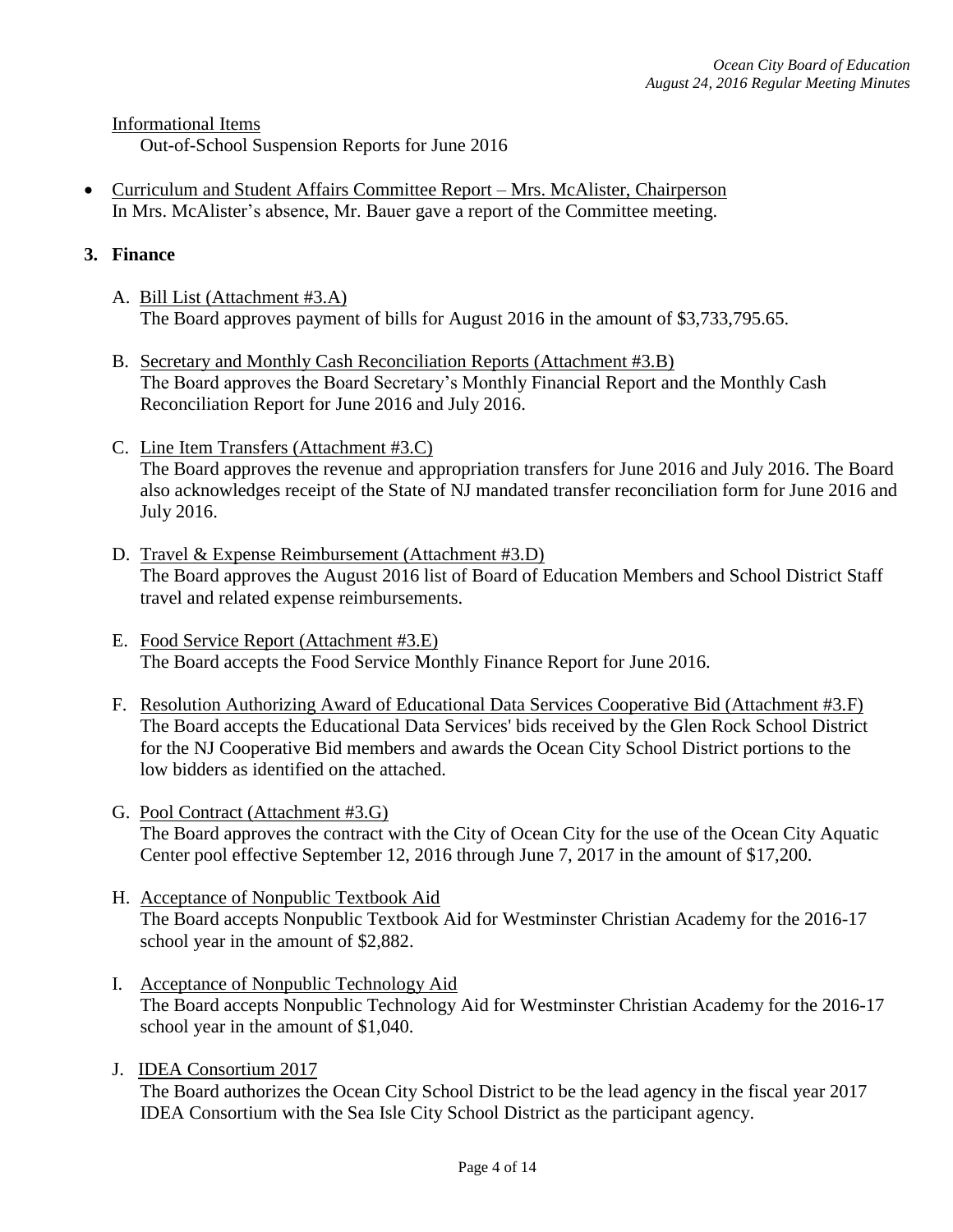Informational Items

Out-of-School Suspension Reports for June 2016

 Curriculum and Student Affairs Committee Report – Mrs. McAlister, Chairperson In Mrs. McAlister's absence, Mr. Bauer gave a report of the Committee meeting.

# **3. Finance**

- A. Bill List (Attachment #3.A) The Board approves payment of bills for August 2016 in the amount of \$3,733,795.65.
- B. Secretary and Monthly Cash Reconciliation Reports (Attachment #3.B) The Board approves the Board Secretary's Monthly Financial Report and the Monthly Cash Reconciliation Report for June 2016 and July 2016.
- C. Line Item Transfers (Attachment #3.C) The Board approves the revenue and appropriation transfers for June 2016 and July 2016. The Board also acknowledges receipt of the State of NJ mandated transfer reconciliation form for June 2016 and July 2016.
- D. Travel & Expense Reimbursement (Attachment #3.D) The Board approves the August 2016 list of Board of Education Members and School District Staff travel and related expense reimbursements.
- E. Food Service Report (Attachment #3.E) The Board accepts the Food Service Monthly Finance Report for June 2016.
- F. Resolution Authorizing Award of Educational Data Services Cooperative Bid (Attachment #3.F) The Board accepts the Educational Data Services' bids received by the Glen Rock School District for the NJ Cooperative Bid members and awards the Ocean City School District portions to the low bidders as identified on the attached.
- G. Pool Contract (Attachment #3.G) The Board approves the contract with the City of Ocean City for the use of the Ocean City Aquatic Center pool effective September 12, 2016 through June 7, 2017 in the amount of \$17,200.
- H. Acceptance of Nonpublic Textbook Aid The Board accepts Nonpublic Textbook Aid for Westminster Christian Academy for the 2016-17 school year in the amount of \$2,882.
- I. Acceptance of Nonpublic Technology Aid The Board accepts Nonpublic Technology Aid for Westminster Christian Academy for the 2016-17 school year in the amount of \$1,040.
- J. IDEA Consortium 2017

The Board authorizes the Ocean City School District to be the lead agency in the fiscal year 2017 IDEA Consortium with the Sea Isle City School District as the participant agency.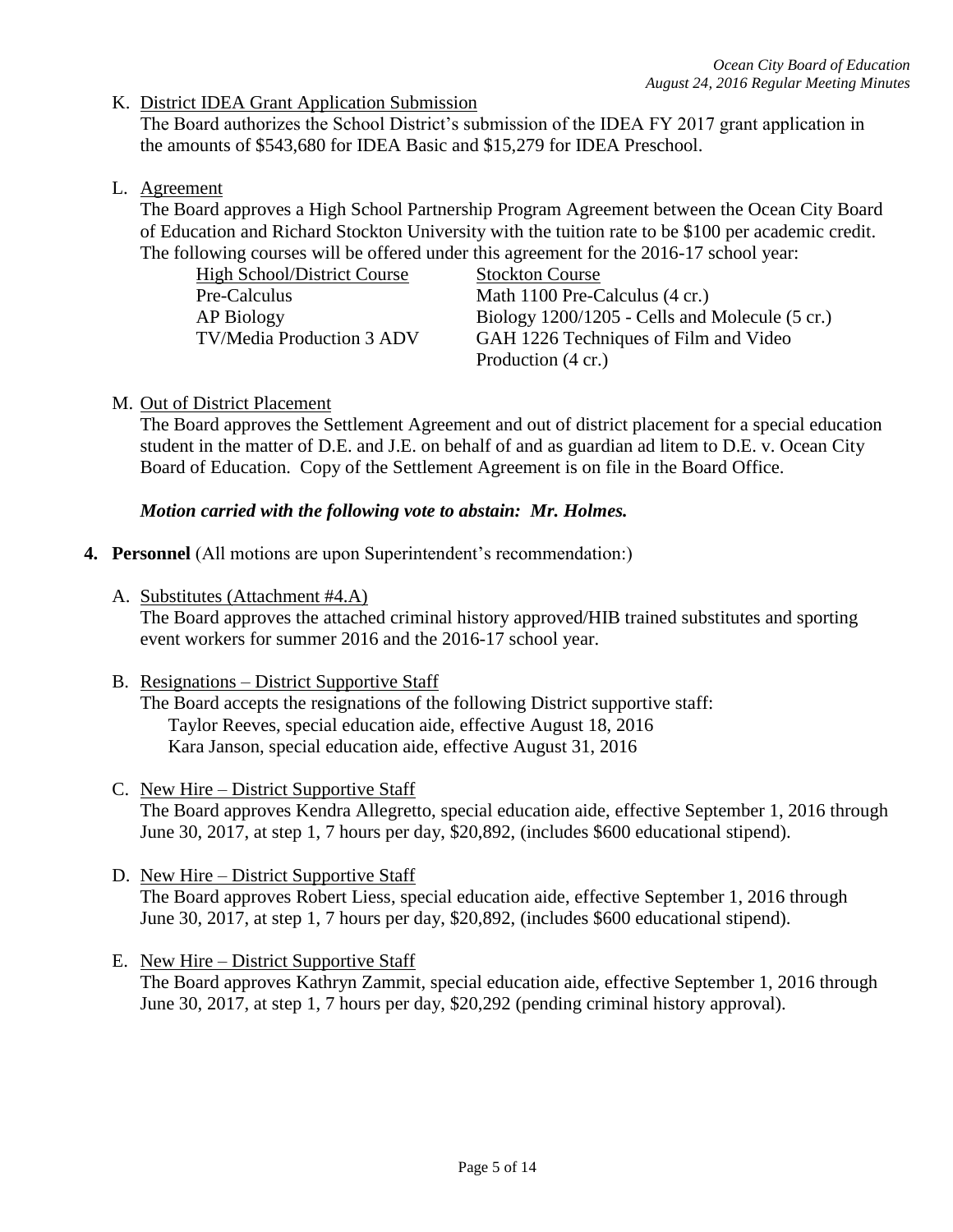K. District IDEA Grant Application Submission

The Board authorizes the School District's submission of the IDEA FY 2017 grant application in the amounts of \$543,680 for IDEA Basic and \$15,279 for IDEA Preschool.

L. Agreement

The Board approves a High School Partnership Program Agreement between the Ocean City Board of Education and Richard Stockton University with the tuition rate to be \$100 per academic credit. The following courses will be offered under this agreement for the 2016-17 school year:

| <b>High School/District Course</b> | <b>Stockton Course</b>                         |
|------------------------------------|------------------------------------------------|
| Pre-Calculus                       | Math 1100 Pre-Calculus (4 cr.)                 |
| AP Biology                         | Biology 1200/1205 - Cells and Molecule (5 cr.) |
| <b>TV/Media Production 3 ADV</b>   | GAH 1226 Techniques of Film and Video          |
|                                    | Production (4 cr.)                             |

M. Out of District Placement

The Board approves the Settlement Agreement and out of district placement for a special education student in the matter of D.E. and J.E. on behalf of and as guardian ad litem to D.E. v. Ocean City Board of Education. Copy of the Settlement Agreement is on file in the Board Office.

### *Motion carried with the following vote to abstain: Mr. Holmes.*

- **4. Personnel** (All motions are upon Superintendent's recommendation:)
	- A. Substitutes (Attachment #4.A)

The Board approves the attached criminal history approved/HIB trained substitutes and sporting event workers for summer 2016 and the 2016-17 school year.

B. Resignations – District Supportive Staff

The Board accepts the resignations of the following District supportive staff: Taylor Reeves, special education aide, effective August 18, 2016 Kara Janson, special education aide, effective August 31, 2016

- C. New Hire District Supportive Staff The Board approves Kendra Allegretto, special education aide, effective September 1, 2016 through June 30, 2017, at step 1, 7 hours per day, \$20,892, (includes \$600 educational stipend).
- D. New Hire District Supportive Staff The Board approves Robert Liess, special education aide, effective September 1, 2016 through June 30, 2017, at step 1, 7 hours per day, \$20,892, (includes \$600 educational stipend).
- E. New Hire District Supportive Staff The Board approves Kathryn Zammit, special education aide, effective September 1, 2016 through June 30, 2017, at step 1, 7 hours per day, \$20,292 (pending criminal history approval).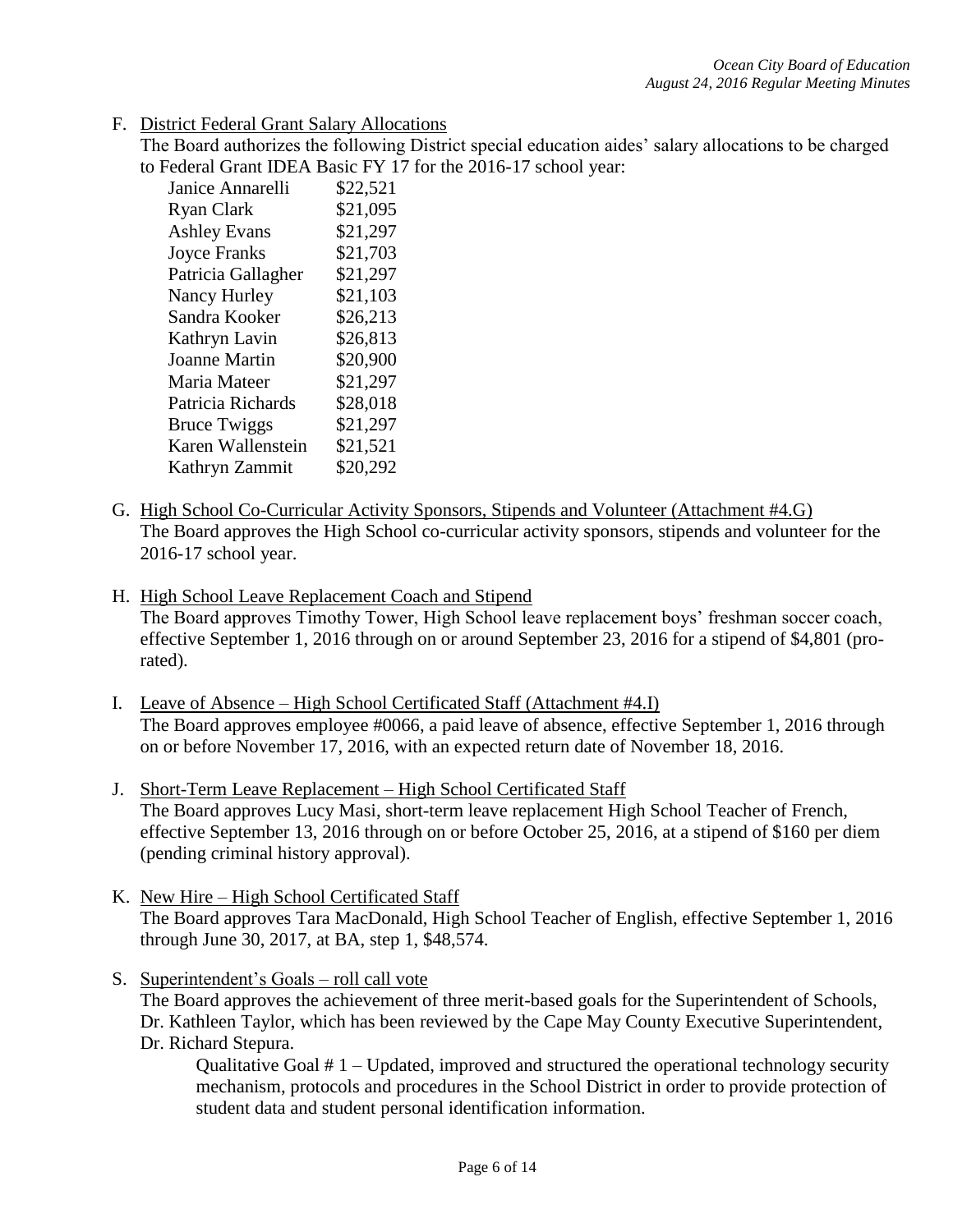F. District Federal Grant Salary Allocations

The Board authorizes the following District special education aides' salary allocations to be charged to Federal Grant IDEA Basic FY 17 for the 2016-17 school year:

| Janice Annarelli     | \$22,521 |
|----------------------|----------|
| Ryan Clark           | \$21,095 |
| <b>Ashley Evans</b>  | \$21,297 |
| <b>Joyce Franks</b>  | \$21,703 |
| Patricia Gallagher   | \$21,297 |
| Nancy Hurley         | \$21,103 |
| Sandra Kooker        | \$26,213 |
| Kathryn Lavin        | \$26,813 |
| <b>Joanne Martin</b> | \$20,900 |
| Maria Mateer         | \$21,297 |
| Patricia Richards    | \$28,018 |
| <b>Bruce Twiggs</b>  | \$21,297 |
| Karen Wallenstein    | \$21,521 |
| Kathryn Zammit       | \$20,292 |

- G. High School Co-Curricular Activity Sponsors, Stipends and Volunteer (Attachment #4.G) The Board approves the High School co-curricular activity sponsors, stipends and volunteer for the 2016-17 school year.
- H. High School Leave Replacement Coach and Stipend

The Board approves Timothy Tower, High School leave replacement boys' freshman soccer coach, effective September 1, 2016 through on or around September 23, 2016 for a stipend of \$4,801 (prorated).

- I. Leave of Absence High School Certificated Staff (Attachment #4.I) The Board approves employee #0066, a paid leave of absence, effective September 1, 2016 through on or before November 17, 2016, with an expected return date of November 18, 2016.
- J. Short-Term Leave Replacement High School Certificated Staff The Board approves Lucy Masi, short-term leave replacement High School Teacher of French, effective September 13, 2016 through on or before October 25, 2016, at a stipend of \$160 per diem (pending criminal history approval).
- K. New Hire High School Certificated Staff The Board approves Tara MacDonald, High School Teacher of English, effective September 1, 2016 through June 30, 2017, at BA, step 1, \$48,574.
- S. Superintendent's Goals roll call vote The Board approves the achievement of three merit-based goals for the Superintendent of Schools, Dr. Kathleen Taylor, which has been reviewed by the Cape May County Executive Superintendent, Dr. Richard Stepura.

Qualitative Goal # 1 – Updated, improved and structured the operational technology security mechanism, protocols and procedures in the School District in order to provide protection of student data and student personal identification information.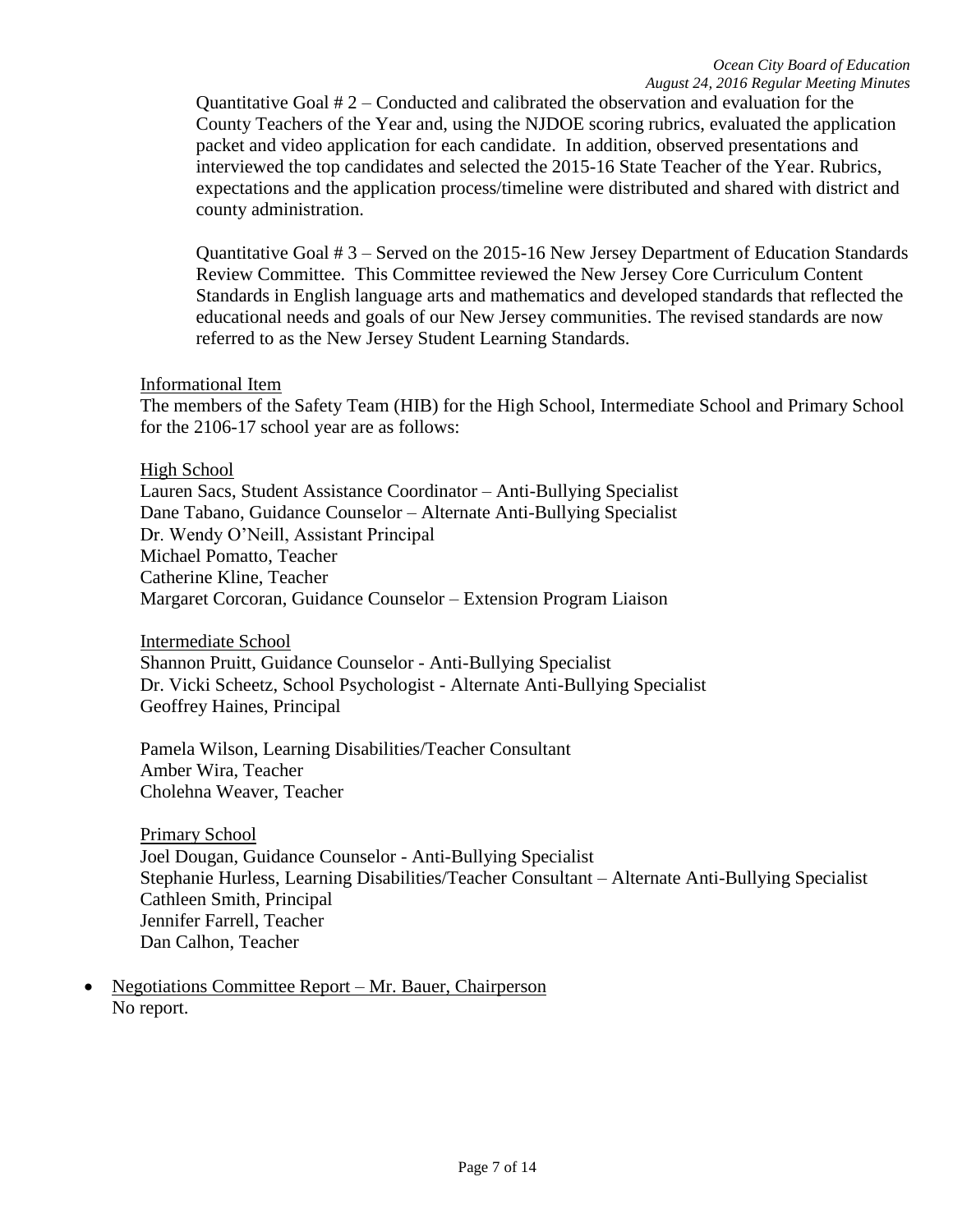Quantitative Goal  $# 2$  – Conducted and calibrated the observation and evaluation for the County Teachers of the Year and, using the NJDOE scoring rubrics, evaluated the application packet and video application for each candidate. In addition, observed presentations and interviewed the top candidates and selected the 2015-16 State Teacher of the Year. Rubrics, expectations and the application process/timeline were distributed and shared with district and county administration.

Quantitative Goal # 3 – Served on the 2015-16 New Jersey Department of Education Standards Review Committee. This Committee reviewed the New Jersey Core Curriculum Content Standards in English language arts and mathematics and developed standards that reflected the educational needs and goals of our New Jersey communities. The revised standards are now referred to as the New Jersey Student Learning Standards.

### Informational Item

The members of the Safety Team (HIB) for the High School, Intermediate School and Primary School for the 2106-17 school year are as follows:

### High School

Lauren Sacs, Student Assistance Coordinator – Anti-Bullying Specialist Dane Tabano, Guidance Counselor – Alternate Anti-Bullying Specialist Dr. Wendy O'Neill, Assistant Principal Michael Pomatto, Teacher Catherine Kline, Teacher Margaret Corcoran, Guidance Counselor – Extension Program Liaison

Intermediate School

Shannon Pruitt, Guidance Counselor - Anti-Bullying Specialist Dr. Vicki Scheetz, School Psychologist - Alternate Anti-Bullying Specialist Geoffrey Haines, Principal

Pamela Wilson, Learning Disabilities/Teacher Consultant Amber Wira, Teacher Cholehna Weaver, Teacher

Primary School Joel Dougan, Guidance Counselor - Anti-Bullying Specialist Stephanie Hurless, Learning Disabilities/Teacher Consultant – Alternate Anti-Bullying Specialist Cathleen Smith, Principal Jennifer Farrell, Teacher Dan Calhon, Teacher

 Negotiations Committee Report – Mr. Bauer, Chairperson No report.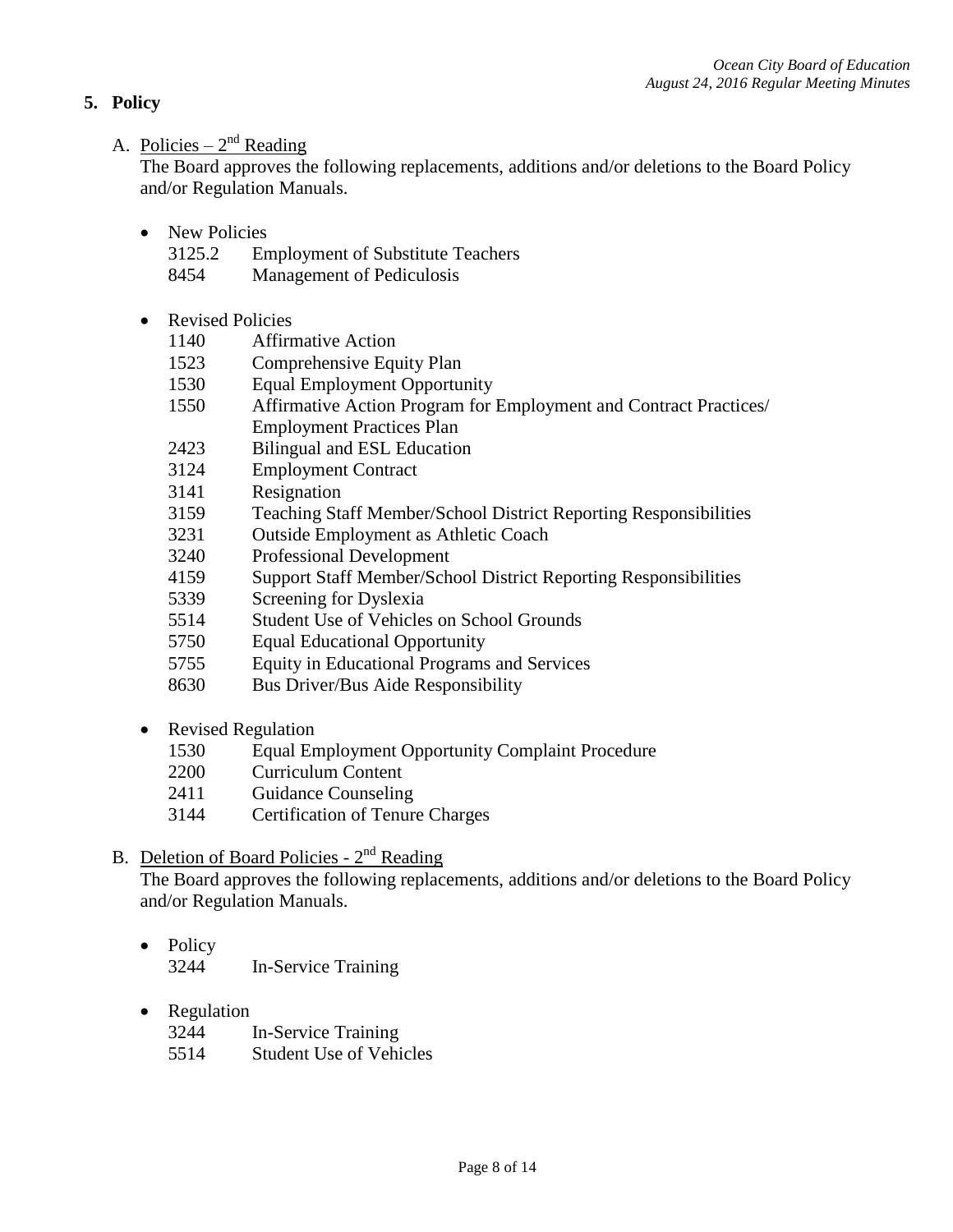# **5. Policy**

# A. Policies –  $2<sup>nd</sup>$  Reading

The Board approves the following replacements, additions and/or deletions to the Board Policy and/or Regulation Manuals.

- New Policies
	- 3125.2 Employment of Substitute Teachers
	- 8454 Management of Pediculosis
- Revised Policies
	- 1140 Affirmative Action
	- 1523 Comprehensive Equity Plan
	- 1530 Equal Employment Opportunity
	- 1550 Affirmative Action Program for Employment and Contract Practices/ Employment Practices Plan
	- 2423 Bilingual and ESL Education
	- 3124 Employment Contract
	- 3141 Resignation
	- 3159 Teaching Staff Member/School District Reporting Responsibilities
	- 3231 Outside Employment as Athletic Coach
	- 3240 Professional Development
	- 4159 Support Staff Member/School District Reporting Responsibilities
	- 5339 Screening for Dyslexia
	- 5514 Student Use of Vehicles on School Grounds
	- 5750 Equal Educational Opportunity
	- 5755 Equity in Educational Programs and Services
	- 8630 Bus Driver/Bus Aide Responsibility
- Revised Regulation
	- 1530 Equal Employment Opportunity Complaint Procedure
	- 2200 Curriculum Content
	- 2411 Guidance Counseling
	- 3144 Certification of Tenure Charges

# B. Deletion of Board Policies - 2<sup>nd</sup> Reading

The Board approves the following replacements, additions and/or deletions to the Board Policy and/or Regulation Manuals.

- Policy 3244 In-Service Training
- Regulation

| 3244 | In-Service Training            |
|------|--------------------------------|
| 5514 | <b>Student Use of Vehicles</b> |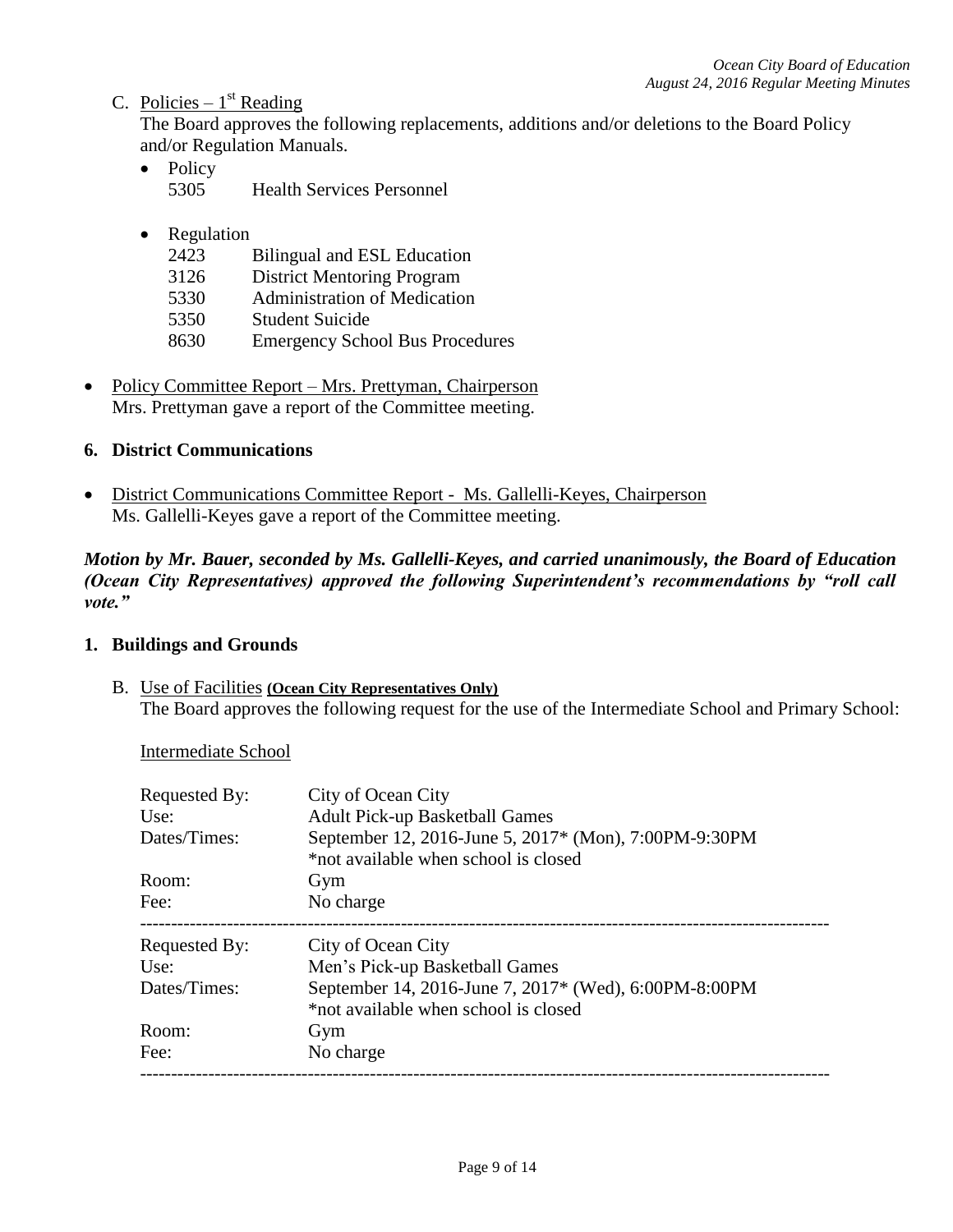# C. Policies –  $1<sup>st</sup>$  Reading

The Board approves the following replacements, additions and/or deletions to the Board Policy and/or Regulation Manuals.

- Policy 5305 Health Services Personnel
- Regulation
	- 2423 Bilingual and ESL Education
	- 3126 District Mentoring Program
	- 5330 Administration of Medication
	- 5350 Student Suicide
	- 8630 Emergency School Bus Procedures
- Policy Committee Report Mrs. Prettyman, Chairperson Mrs. Prettyman gave a report of the Committee meeting.

### **6. District Communications**

• District Communications Committee Report - Ms. Gallelli-Keyes, Chairperson Ms. Gallelli-Keyes gave a report of the Committee meeting.

*Motion by Mr. Bauer, seconded by Ms. Gallelli-Keyes, and carried unanimously, the Board of Education (Ocean City Representatives) approved the following Superintendent's recommendations by "roll call vote."* 

### **1. Buildings and Grounds**

B. Use of Facilities **(Ocean City Representatives Only)** The Board approves the following request for the use of the Intermediate School and Primary School:

Intermediate School

| Requested By:<br>Use: | City of Ocean City<br><b>Adult Pick-up Basketball Games</b>                                   |
|-----------------------|-----------------------------------------------------------------------------------------------|
| Dates/Times:          | September 12, 2016-June 5, 2017* (Mon), 7:00PM-9:30PM<br>*not available when school is closed |
| Room:                 | Gym                                                                                           |
| Fee:                  | No charge                                                                                     |
| Requested By:         | City of Ocean City                                                                            |
| Use:                  | Men's Pick-up Basketball Games                                                                |
| Dates/Times:          | September 14, 2016-June 7, 2017* (Wed), 6:00PM-8:00PM                                         |
|                       |                                                                                               |
|                       | *not available when school is closed                                                          |
| Room:                 | Gym                                                                                           |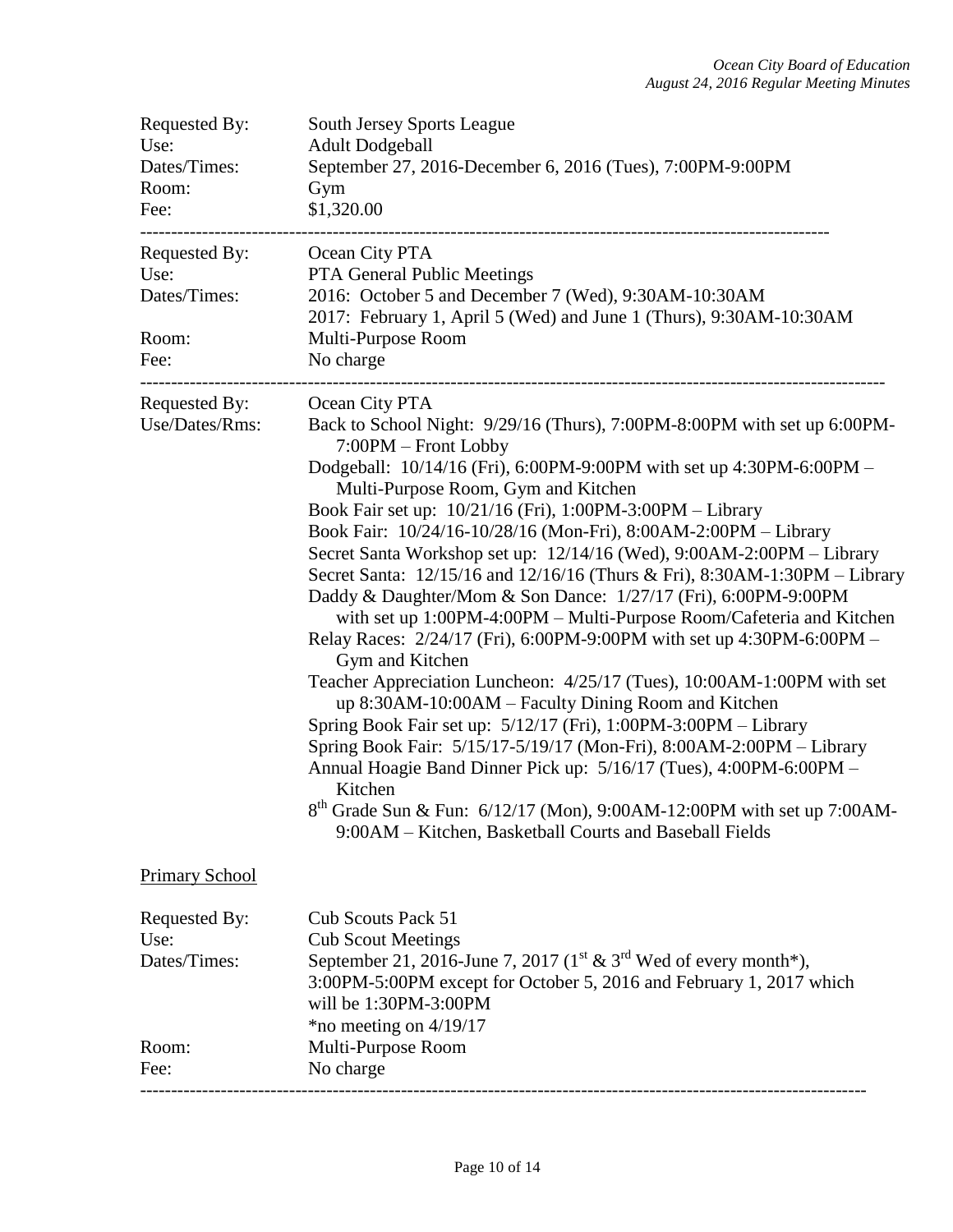| Requested By:<br>Use:<br>Dates/Times:<br>Room:<br>Fee: | <b>South Jersey Sports League</b><br><b>Adult Dodgeball</b><br>September 27, 2016-December 6, 2016 (Tues), 7:00PM-9:00PM<br>Gym<br>\$1,320.00                                                                                                                                                                                                                                                                                                                                                                                                                                                                                                                                                                                                                                                                                                                                                                                                                                                                                                                                                                                                                                                                                                                         |
|--------------------------------------------------------|-----------------------------------------------------------------------------------------------------------------------------------------------------------------------------------------------------------------------------------------------------------------------------------------------------------------------------------------------------------------------------------------------------------------------------------------------------------------------------------------------------------------------------------------------------------------------------------------------------------------------------------------------------------------------------------------------------------------------------------------------------------------------------------------------------------------------------------------------------------------------------------------------------------------------------------------------------------------------------------------------------------------------------------------------------------------------------------------------------------------------------------------------------------------------------------------------------------------------------------------------------------------------|
| Requested By:<br>Use:<br>Dates/Times:<br>Room:<br>Fee: | Ocean City PTA<br><b>PTA General Public Meetings</b><br>2016: October 5 and December 7 (Wed), 9:30AM-10:30AM<br>2017: February 1, April 5 (Wed) and June 1 (Thurs), 9:30AM-10:30AM<br>Multi-Purpose Room<br>No charge                                                                                                                                                                                                                                                                                                                                                                                                                                                                                                                                                                                                                                                                                                                                                                                                                                                                                                                                                                                                                                                 |
| Requested By:<br>Use/Dates/Rms:                        | Ocean City PTA<br>Back to School Night: 9/29/16 (Thurs), 7:00PM-8:00PM with set up 6:00PM-<br>7:00PM - Front Lobby<br>Dodgeball: 10/14/16 (Fri), 6:00PM-9:00PM with set up 4:30PM-6:00PM -<br>Multi-Purpose Room, Gym and Kitchen<br>Book Fair set up: 10/21/16 (Fri), 1:00PM-3:00PM - Library<br>Book Fair: 10/24/16-10/28/16 (Mon-Fri), 8:00AM-2:00PM - Library<br>Secret Santa Workshop set up: 12/14/16 (Wed), 9:00AM-2:00PM - Library<br>Secret Santa: 12/15/16 and 12/16/16 (Thurs & Fri), 8:30AM-1:30PM – Library<br>Daddy & Daughter/Mom & Son Dance: 1/27/17 (Fri), 6:00PM-9:00PM<br>with set up 1:00PM-4:00PM – Multi-Purpose Room/Cafeteria and Kitchen<br>Relay Races: 2/24/17 (Fri), 6:00PM-9:00PM with set up 4:30PM-6:00PM –<br>Gym and Kitchen<br>Teacher Appreciation Luncheon: 4/25/17 (Tues), 10:00AM-1:00PM with set<br>up 8:30AM-10:00AM – Faculty Dining Room and Kitchen<br>Spring Book Fair set up: 5/12/17 (Fri), 1:00PM-3:00PM - Library<br>Spring Book Fair: 5/15/17-5/19/17 (Mon-Fri), 8:00AM-2:00PM - Library<br>Annual Hoagie Band Dinner Pick up: 5/16/17 (Tues), 4:00PM-6:00PM -<br>Kitchen<br>$8^{th}$ Grade Sun & Fun: 6/12/17 (Mon), 9:00AM-12:00PM with set up 7:00AM-<br>9:00AM – Kitchen, Basketball Courts and Baseball Fields |
| <b>Primary School</b>                                  |                                                                                                                                                                                                                                                                                                                                                                                                                                                                                                                                                                                                                                                                                                                                                                                                                                                                                                                                                                                                                                                                                                                                                                                                                                                                       |
| Requested By:<br>Use:<br>Dates/Times:                  | <b>Cub Scouts Pack 51</b><br><b>Cub Scout Meetings</b><br>September 21, 2016-June 7, 2017 ( $1^{\text{st}}$ & $3^{\text{rd}}$ Wed of every month*),<br>3:00PM-5:00PM except for October 5, 2016 and February 1, 2017 which<br>will be 1:30PM-3:00PM<br>*no meeting on $4/19/17$                                                                                                                                                                                                                                                                                                                                                                                                                                                                                                                                                                                                                                                                                                                                                                                                                                                                                                                                                                                       |
| Room:<br>Fee:                                          | Multi-Purpose Room<br>No charge                                                                                                                                                                                                                                                                                                                                                                                                                                                                                                                                                                                                                                                                                                                                                                                                                                                                                                                                                                                                                                                                                                                                                                                                                                       |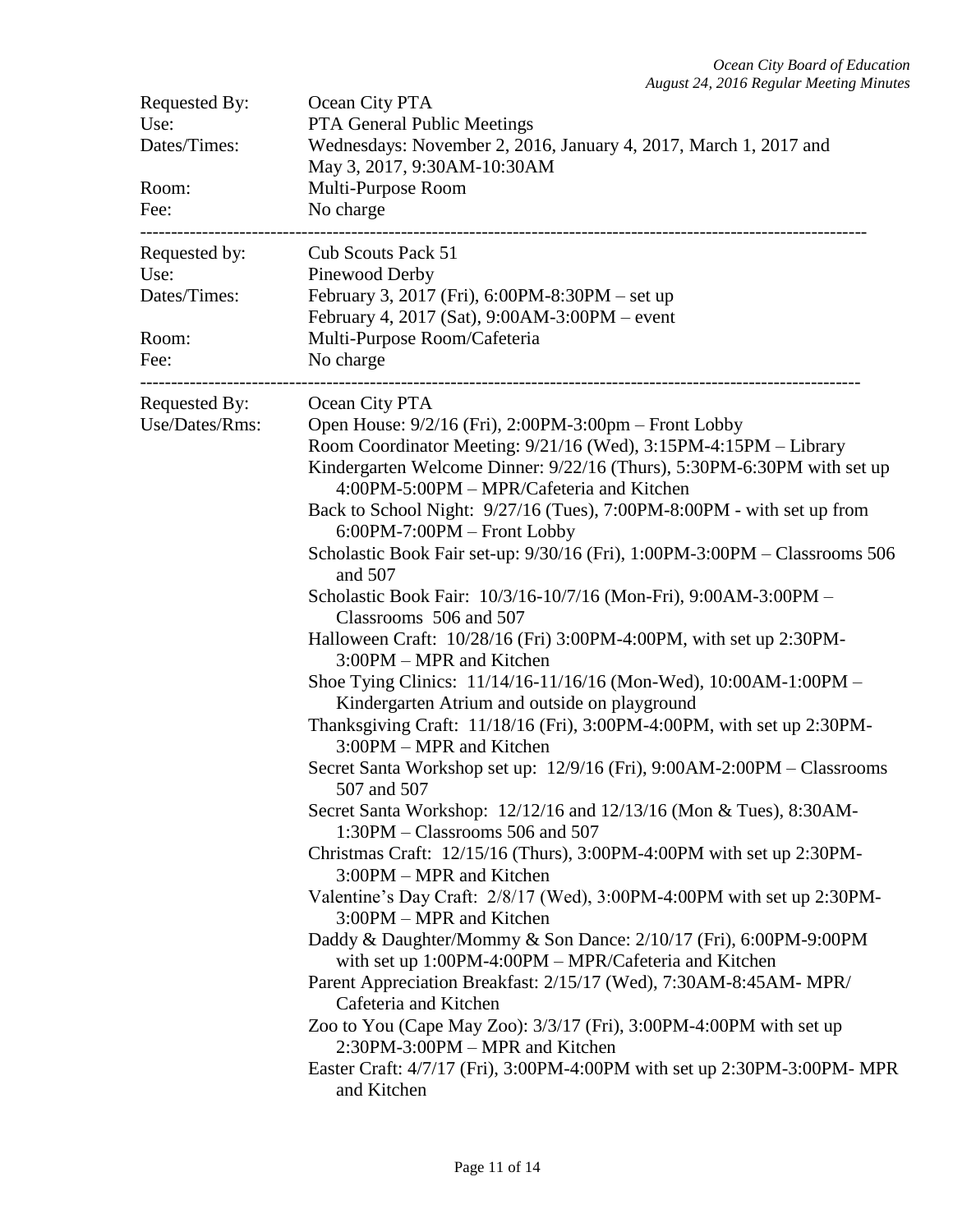| Requested By:<br>Use:<br>Dates/Times:<br>Room:<br>Fee: | Ocean City PTA<br>PTA General Public Meetings<br>Wednesdays: November 2, 2016, January 4, 2017, March 1, 2017 and<br>May 3, 2017, 9:30AM-10:30AM<br>Multi-Purpose Room<br>No charge                                                                                                                                                                                                                                                                                                                                                                                                                                                                                                                                                                                                                                                                                                                                                                                                                                                                                                                                                                                                                                                                                                                                                                                                                                                                                                                                                                                                                                                                                                                                                            |
|--------------------------------------------------------|------------------------------------------------------------------------------------------------------------------------------------------------------------------------------------------------------------------------------------------------------------------------------------------------------------------------------------------------------------------------------------------------------------------------------------------------------------------------------------------------------------------------------------------------------------------------------------------------------------------------------------------------------------------------------------------------------------------------------------------------------------------------------------------------------------------------------------------------------------------------------------------------------------------------------------------------------------------------------------------------------------------------------------------------------------------------------------------------------------------------------------------------------------------------------------------------------------------------------------------------------------------------------------------------------------------------------------------------------------------------------------------------------------------------------------------------------------------------------------------------------------------------------------------------------------------------------------------------------------------------------------------------------------------------------------------------------------------------------------------------|
| Requested by:<br>Use:<br>Dates/Times:<br>Room:<br>Fee: | Cub Scouts Pack 51<br>Pinewood Derby<br>February 3, 2017 (Fri), 6:00PM-8:30PM – set up<br>February 4, 2017 (Sat), 9:00AM-3:00PM – event<br>Multi-Purpose Room/Cafeteria<br>No charge                                                                                                                                                                                                                                                                                                                                                                                                                                                                                                                                                                                                                                                                                                                                                                                                                                                                                                                                                                                                                                                                                                                                                                                                                                                                                                                                                                                                                                                                                                                                                           |
| Requested By:<br>Use/Dates/Rms:                        | Ocean City PTA<br>Open House: $9/2/16$ (Fri), 2:00PM-3:00pm – Front Lobby<br>Room Coordinator Meeting: 9/21/16 (Wed), 3:15PM-4:15PM – Library<br>Kindergarten Welcome Dinner: 9/22/16 (Thurs), 5:30PM-6:30PM with set up<br>4:00PM-5:00PM – MPR/Cafeteria and Kitchen<br>Back to School Night: 9/27/16 (Tues), 7:00PM-8:00PM - with set up from<br>6:00PM-7:00PM - Front Lobby<br>Scholastic Book Fair set-up: 9/30/16 (Fri), 1:00PM-3:00PM – Classrooms 506<br>and 507<br>Scholastic Book Fair: 10/3/16-10/7/16 (Mon-Fri), 9:00AM-3:00PM -<br>Classrooms 506 and 507<br>Halloween Craft: 10/28/16 (Fri) 3:00PM-4:00PM, with set up 2:30PM-<br>3:00PM – MPR and Kitchen<br>Shoe Tying Clinics: 11/14/16-11/16/16 (Mon-Wed), 10:00AM-1:00PM -<br>Kindergarten Atrium and outside on playground<br>Thanksgiving Craft: 11/18/16 (Fri), 3:00PM-4:00PM, with set up 2:30PM-<br>3:00PM – MPR and Kitchen<br>Secret Santa Workshop set up: 12/9/16 (Fri), 9:00AM-2:00PM – Classrooms<br>507 and 507<br>Secret Santa Workshop: 12/12/16 and 12/13/16 (Mon & Tues), 8:30AM-<br>1:30PM - Classrooms 506 and 507<br>Christmas Craft: 12/15/16 (Thurs), 3:00PM-4:00PM with set up 2:30PM-<br>3:00PM - MPR and Kitchen<br>Valentine's Day Craft: 2/8/17 (Wed), 3:00PM-4:00PM with set up 2:30PM-<br>3:00PM – MPR and Kitchen<br>Daddy & Daughter/Mommy & Son Dance: 2/10/17 (Fri), 6:00PM-9:00PM<br>with set up 1:00PM-4:00PM – MPR/Cafeteria and Kitchen<br>Parent Appreciation Breakfast: 2/15/17 (Wed), 7:30AM-8:45AM-MPR/<br>Cafeteria and Kitchen<br>Zoo to You (Cape May Zoo): 3/3/17 (Fri), 3:00PM-4:00PM with set up<br>2:30PM-3:00PM – MPR and Kitchen<br>Easter Craft: 4/7/17 (Fri), 3:00PM-4:00PM with set up 2:30PM-3:00PM- MPR<br>and Kitchen |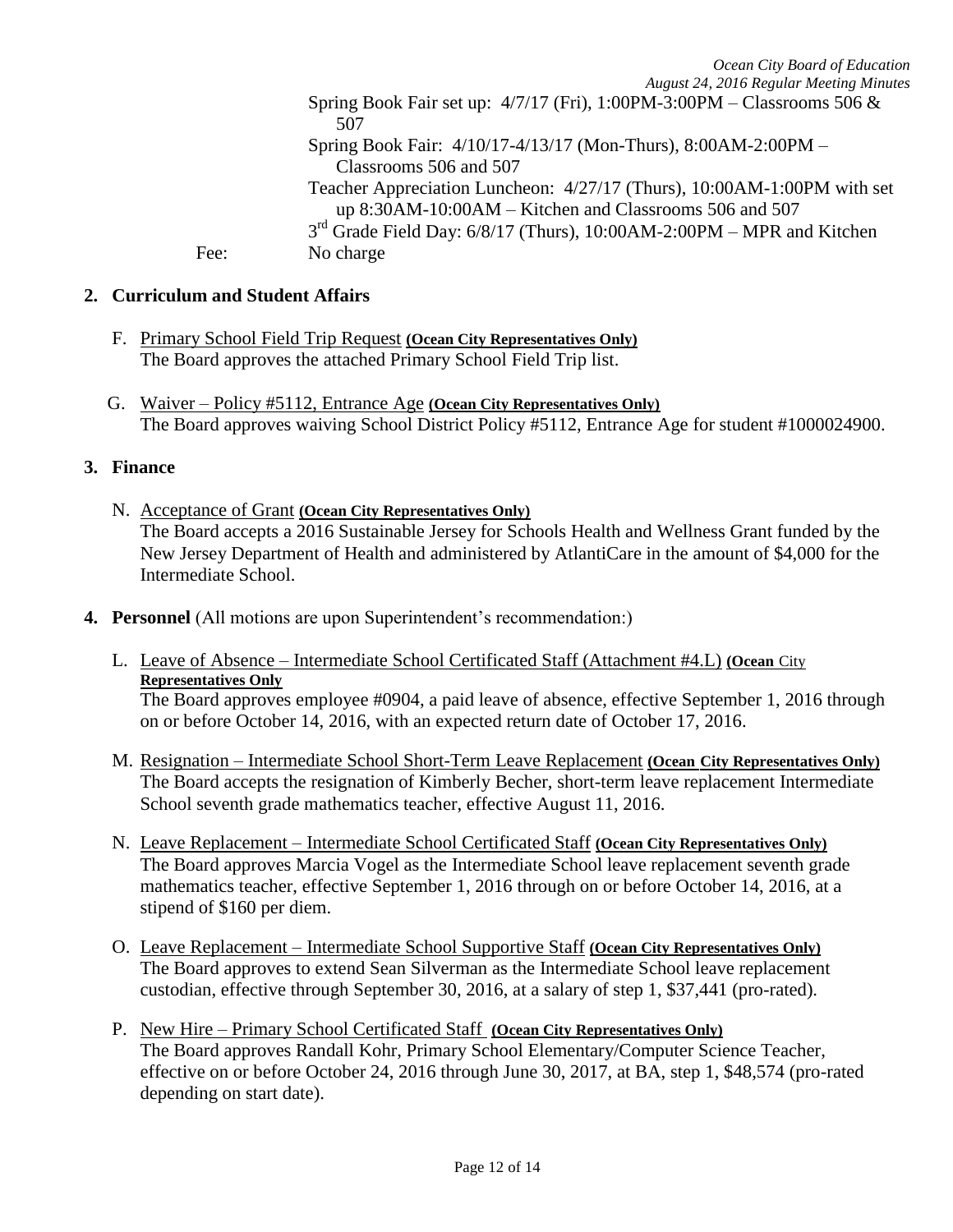*August 24, 2016 Regular Meeting Minutes*

Spring Book Fair set up: 4/7/17 (Fri), 1:00PM-3:00PM – Classrooms 506 & 507

Spring Book Fair: 4/10/17-4/13/17 (Mon-Thurs), 8:00AM-2:00PM – Classrooms 506 and 507

Teacher Appreciation Luncheon: 4/27/17 (Thurs), 10:00AM-1:00PM with set up 8:30AM-10:00AM – Kitchen and Classrooms 506 and 507

 $3<sup>rd</sup>$  Grade Field Day: 6/8/17 (Thurs), 10:00AM-2:00PM – MPR and Kitchen Fee: No charge

# **2. Curriculum and Student Affairs**

- F. Primary School Field Trip Request **(Ocean City Representatives Only)** The Board approves the attached Primary School Field Trip list.
- G. Waiver Policy #5112, Entrance Age **(Ocean City Representatives Only)**  The Board approves waiving School District Policy #5112, Entrance Age for student #1000024900.

# **3. Finance**

- N. Acceptance of Grant **(Ocean City Representatives Only)** The Board accepts a 2016 Sustainable Jersey for Schools Health and Wellness Grant funded by the New Jersey Department of Health and administered by AtlantiCare in the amount of \$4,000 for the Intermediate School.
- **4. Personnel** (All motions are upon Superintendent's recommendation:)
	- L. Leave of Absence Intermediate School Certificated Staff (Attachment #4.L) **(Ocean** City **Representatives Only**

The Board approves employee #0904, a paid leave of absence, effective September 1, 2016 through on or before October 14, 2016, with an expected return date of October 17, 2016.

- M. Resignation Intermediate School Short-Term Leave Replacement **(Ocean City Representatives Only)** The Board accepts the resignation of Kimberly Becher, short-term leave replacement Intermediate School seventh grade mathematics teacher, effective August 11, 2016.
- N. Leave Replacement Intermediate School Certificated Staff **(Ocean City Representatives Only)** The Board approves Marcia Vogel as the Intermediate School leave replacement seventh grade mathematics teacher, effective September 1, 2016 through on or before October 14, 2016, at a stipend of \$160 per diem.
- O. Leave Replacement Intermediate School Supportive Staff **(Ocean City Representatives Only)** The Board approves to extend Sean Silverman as the Intermediate School leave replacement custodian, effective through September 30, 2016, at a salary of step 1, \$37,441 (pro-rated).
- P. New Hire Primary School Certificated Staff **(Ocean City Representatives Only)** The Board approves Randall Kohr, Primary School Elementary/Computer Science Teacher, effective on or before October 24, 2016 through June 30, 2017, at BA, step 1, \$48,574 (pro-rated depending on start date).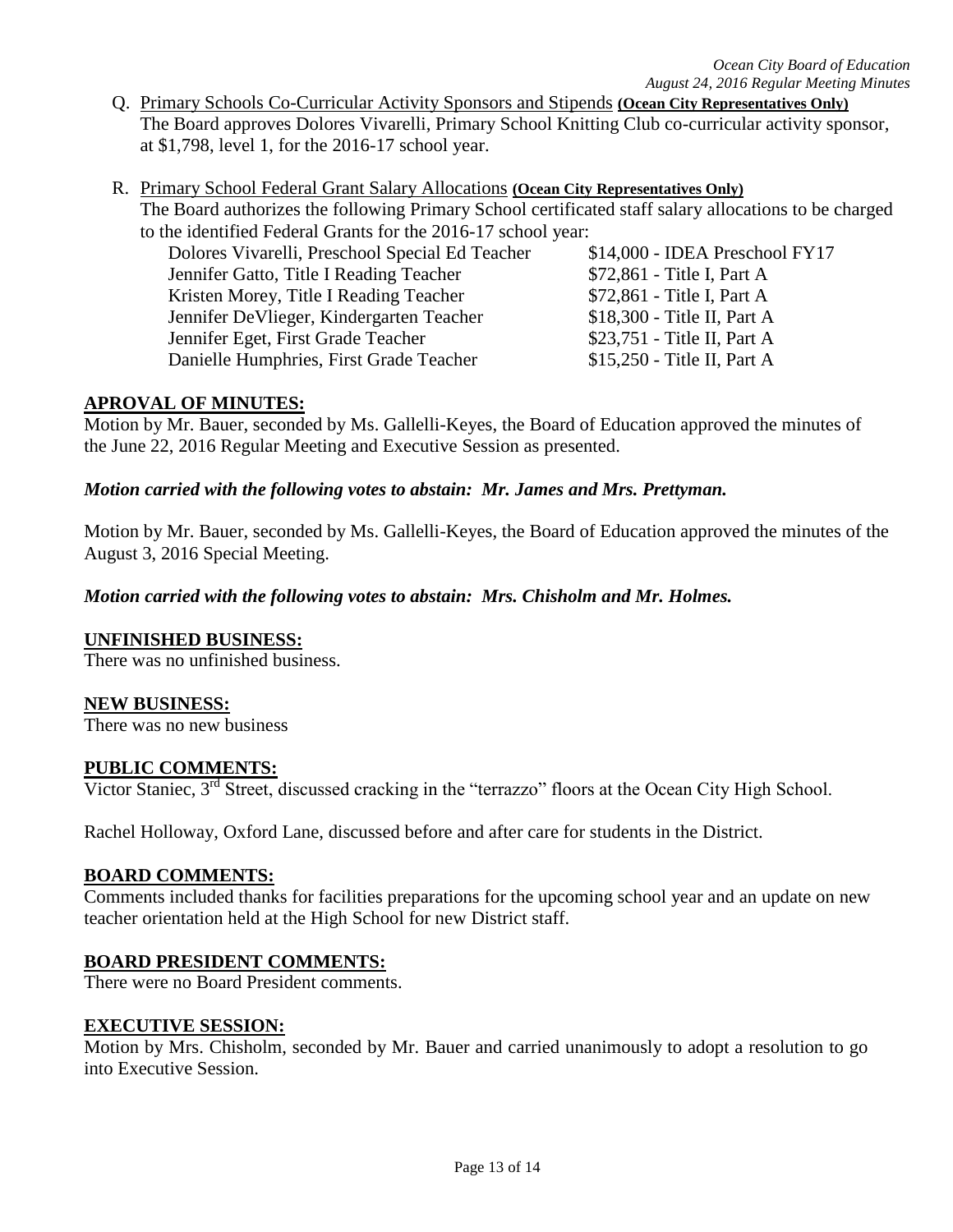- Q. Primary Schools Co-Curricular Activity Sponsors and Stipends **(Ocean City Representatives Only)** The Board approves Dolores Vivarelli, Primary School Knitting Club co-curricular activity sponsor, at \$1,798, level 1, for the 2016-17 school year.
- R. Primary School Federal Grant Salary Allocations **(Ocean City Representatives Only)** The Board authorizes the following Primary School certificated staff salary allocations to be charged to the identified Federal Grants for the 2016-17 school year:

Dolores Vivarelli, Preschool Special Ed Teacher \$14,000 - IDEA Preschool FY17 Jennifer Gatto, Title I Reading Teacher \$72,861 - Title I, Part A Kristen Morey, Title I Reading Teacher \$72,861 - Title I, Part A Jennifer DeVlieger, Kindergarten Teacher \$18,300 - Title II, Part A Jennifer Eget, First Grade Teacher \$23,751 - Title II, Part A Danielle Humphries, First Grade Teacher \$15,250 - Title II, Part A

# **APROVAL OF MINUTES:**

Motion by Mr. Bauer, seconded by Ms. Gallelli-Keyes, the Board of Education approved the minutes of the June 22, 2016 Regular Meeting and Executive Session as presented.

# *Motion carried with the following votes to abstain: Mr. James and Mrs. Prettyman.*

Motion by Mr. Bauer, seconded by Ms. Gallelli-Keyes, the Board of Education approved the minutes of the August 3, 2016 Special Meeting.

# *Motion carried with the following votes to abstain: Mrs. Chisholm and Mr. Holmes.*

### **UNFINISHED BUSINESS:**

There was no unfinished business.

### **NEW BUSINESS:**

There was no new business

### **PUBLIC COMMENTS:**

Victor Staniec, 3<sup>rd</sup> Street, discussed cracking in the "terrazzo" floors at the Ocean City High School.

Rachel Holloway, Oxford Lane, discussed before and after care for students in the District.

### **BOARD COMMENTS:**

Comments included thanks for facilities preparations for the upcoming school year and an update on new teacher orientation held at the High School for new District staff.

### **BOARD PRESIDENT COMMENTS:**

There were no Board President comments.

### **EXECUTIVE SESSION:**

Motion by Mrs. Chisholm, seconded by Mr. Bauer and carried unanimously to adopt a resolution to go into Executive Session.